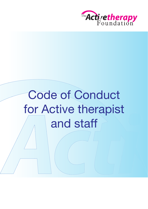

# Code of Conduct for Active therapist and staff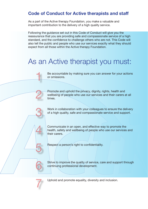### **Code of Conduct for Active therapists and staff**

As a part of the Active therapy Foundation, you make a valuable and important contribution to the delivery of a high quality service.

Following the guidance set out in this Code of Conduct will give you the reassurance that you are providing safe and compassionate service of a high standard, and the confidence to challenge others who are not. This Code will also tell the public and people who use our services exactly what they should expect from all those within the Active therapy Foundation.

### As an Active therapist you must:

Be accountable by making sure you can answer for your actions or omissions.

Promote and uphold the privacy, dignity, rights, health and wellbeing of people who use our services and their carers at all times.

Work in collaboration with your colleagues to ensure the delivery of a high quality, safe and compassionate service and support.

Communicate in an open, and effective way to promote the health, safety and wellbeing of people who use our services and their carers.

Respect a person's right to confidentiality.

Strive to improve the quality of service, care and support through continuing professional development.



6

1

2

3

4

5

Uphold and promote equality, diversity and inclusion.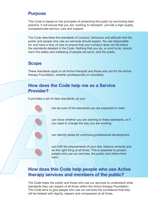#### **Purpose**

This Code is based on the principles of protecting the public by promoting best practice. It will ensure that you are 'working to standard', provide a high quality, compassionate service, care and support.

The Code describes the standards of conduct, behaviour and attitude that the public and people who use our services should expect. You are responsible for, and have a duty of care to ensure that your conduct does not fall below the standards detailed in the Code. Nothing that you do, or omit to do, should harm the safety and wellbeing of people we serve, and the public.

#### **Scope**

These standards apply to all Active therapist and those who act for the Active therapy Foundation, whether professionally or voluntarily.

### **How does the Code help me as a Service Provider?**

It provides a set of clear standards, so you:

can be sure of the standards you are expected to meet.

can know whether you are working to these standards, or if you need to change the way you are working.

can identify areas for continuing professional development.

can fulfil the requirements of your role, behave correctly and do the right thing at all times. This is essential to protect people who use our services, the public and others from harm.

### **How does this Code help people who use Active therapy services and members of the public?**

The Code helps the public and those who use our services to understand what standards they can expect of all those within the Active therapy Foundation. The Code aims to give people who use our services the confidence that they will be treated with dignity, respect and compassion at all times.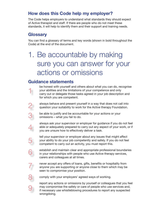### **How does this Code help my employer?**

The Code helps employers to understand what standards they should expect of Active therapist and staff. If there are people who do not meet these standards, it will help to identify them and their support and training needs.

#### **Glossary**

You can find a glossary of terms and key words (shown in bold throughout the Code) at the end of the document.

### 1. Be accountable by making sure you can answer for your actions or omissions

#### **Guidance statements**

be honest with yourself and others about what you can do, recognise your abilities and the limitations of your competence and only carry out or delegate those tasks agreed in your job description and for which you are competent.

always behave and present yourself in a way that does not call into question your suitability to work for the Active therapy Foundation.

be able to justify and be accountable for your actions or your omissions – what you fail to do.

always ask your supervisor or employer for guidance if you do not feel able or adequately prepared to carry out any aspect of your work, or if you are unsure how to effectively deliver a task.

tell your supervisor or employer about any issues that might affect your ability to do your job competently and safely. If you do not feel competent to carry out an activity, you must report this.

establish and maintain clear and appropriate professional boundaries in your relationships with people who use Active therapy services, carers and colleagues at all times.

never accept any offers of loans, gifts, benefits or hospitality from anyone you are supporting or anyone close to them which may be seen to compromise your position.

8

9

1

2

3

4

5

6

7

comply with your employers' agreed ways of working.

report any actions or omissions by yourself or colleagues that you feel may compromise the safety or care of people who use services and, if necessary use whistleblowing procedures to report any suspected wrongdoing.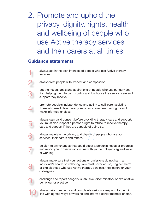### 2. Promote and uphold the privacy, dignity, rights, health and wellbeing of people who use Active therapy services and their carers at all times

#### **Guidance statements**

always act in the best interests of people who use Active therapy services.

always treat people with respect and compassion.

put the needs, goals and aspirations of people who use our services first, helping them to be in control and to choose the service, care and support they receive.

promote people's independence and ability to self-care, assisting those who use Active therapy services to exercise their rights and make informed choices.

always gain valid consent before providing therapy, care and support. You must also respect a person's right to refuse to receive therapy, care and support if they are capable of doing so.

always maintain the privacy and dignity of people who use our services, their carers and others.

be alert to any changes that could affect a person's needs or progress and report your observations in line with your employer's agreed ways of working.

always make sure that your actions or omissions do not harm an individual's health or wellbeing. You must never abuse, neglect, harm or exploit those who use Active therapy services, their carers or your colleagues.

9

8

1

2

3

4

5

6

7

challenge and report dangerous, abusive, discriminatory or exploitative behaviour or practice.

10 always take comments and complaints seriously, respond to them in line with agreed ways of working and inform a senior member of staff.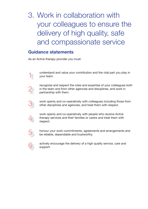### 3. Work in collaboration with your colleagues to ensure the delivery of high quality, safe and compassionate service

#### **Guidance statements**

1

2

3

4

5

6

As an Active therapy provider you must:

understand and value your contribution and the vital part you play in your team.

recognise and respect the roles and expertise of your colleagues both in the team and from other agencies and disciplines, and work in partnership with them.

work openly and co-operatively with colleagues including those from other disciplines and agencies, and treat them with respect.

work openly and co-operatively with people who receive Active therapy services and their families or carers and treat them with respect.

honour your work commitments, agreements and arrangements and be reliable, dependable and trustworthy.

actively encourage the delivery of a high quality service, care and support.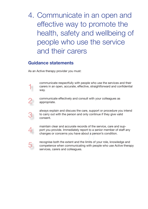### 4. Communicate in an open and effective way to promote the health, safety and wellbeing of people who use the service and their carers

#### **Guidance statements**

As an Active therapy provider you must:

communicate respectfully with people who use the services and their carers in an open, accurate, effective, straightforward and confidential way.



1

communicate effectively and consult with your colleagues as appropriate.

always explain and discuss the care, support or procedure you intend to carry out with the person and only continue if they give valid consent.



3

maintain clear and accurate records of the service, care and support you provide. Immediately report to a senior member of staff any changes or concerns you have about a person's condition.

5

recognise both the extent and the limits of your role, knowledge and competence when communicating with people who use Active therapy services, carers and colleagues.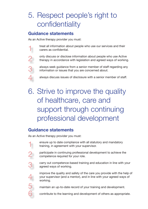# 5. Respect people's right to confidentiality

### **Guidance statements**

As an Active therapy provider you must:

treat all information about people who use our services and their carers as confidential.

only discuss or disclose information about people who use Active therapy in accordance with legislation and agreed ways of working.

always seek guidance from a senior member of staff regarding any information or issues that you are concerned about.

always discuss issues of disclosure with a senior member of staff.

# 6. Strive to improve the quality of healthcare, care and support through continuing professional development

### **Guidance statements**

As an Active therapy provider you must:

- ensure up to date compliance with all statutory and mandatory training, in agreement with your supervisor. 1
	- participate in continuing professional development to achieve the competence required for your role.
- 3

4

5

6

2

1

2

3

4

carry out competence-based training and education in line with your agreed ways of working.

improve the quality and safety of the care you provide with the help of your supervisor (and a mentor), and in line with your agreed ways of working.

maintain an up-to-date record of your training and development.

contribute to the learning and development of others as appropriate.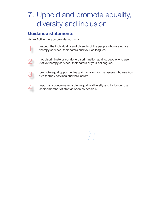### 7. Uphold and promote equality, diversity and inclusion

### **Guidance statements**

As an Active therapy provider you must:





promote equal opportunities and inclusion for the people who use Active therapy services and their carers.



1

2

3

report any concerns regarding equality, diversity and inclusion to a senior member of staff as soon as possible.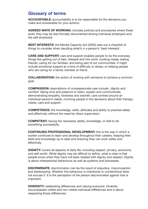#### **Glossary of terms**

**ACCOUNTABLE:** accountability is to be responsible for the decisions you make and answerable for your actions.

**AGREED WAYS OF WORKING:** includes policies and procedures where these exist; they may be less formally documented among individual employers and the self-employed.

**BEST INTERESTS:** the Mental Capacity Act (2005) sets out a checklist of things to consider when deciding what's in a person's 'best interests'.

**CARE AND SUPPORT:** care and support enables people to do the everyday things like getting out of bed, dressed and into work; cooking meals; seeing friends; caring for our families; and being part of our communities. It might include emotional support at a time of difficulty or stress, or helping people who are caring for a family member or friend.

**COLLABORATION:** the action of working with someone to achieve a common goal.

**COMPASSION:** descriptions of compassionate care include:, dignity and comfort: taking time and patience to listen, explain and communicate; demonstrating empathy, kindness and warmth; care centred around an individual person's needs, involving people in the decisions about their therapy needs, care and support.

**COMPETENCE:** the knowledge, skills, attitudes and ability to practise safely and effectively without the need for direct supervision.

**COMPETENT:** having the necessary ability, knowledge, or skill to do something successfully.

**CONTINUING PROFESSIONAL DEVELOPMENT:** this is the way in which a worker continues to learn and develop throughout their careers, keeping their skills and knowledge up to date and ensuring they can work safely and effectively.

**DIGNITY:** covers all aspects of daily life, including respect, privacy, autonomy and self-worth. While dignity may be difficult to define, what is clear is that people know when they have not been treated with dignity and respect. Dignity is about interpersonal behaviours as well as systems and processes.

**DISCRIMINATE:** discrimination can be the result of prejudice, misconception and stereotyping. Whether this behaviour is intentional or unintentional does not excuse it. It is the perception of the person discriminated against that is important.

**DIVERSITY:** celebrating differences and valuing everyone. Diversity encompasses visible and non-visible individual differences and is about respecting those differences.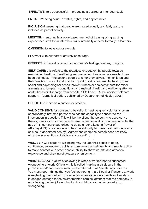**EFFECTIVE:** to be successful in producing a desired or intended result.

**EQUALITY:** being equal in status, rights, and opportunities.

**INCLUSION:** ensuring that people are treated equally and fairly and are included as part of society.

**MENTOR:** mentoring is a work-based method of training using existing experienced staff to transfer their skills informally or semi-formally to learners.

**OMISSION:** to leave out or exclude.

**PROMOTE:** to support or actively encourage.

**RESPECT:** to have due regard for someone's feelings, wishes, or rights.

**SELF-CARE:** this refers to the practices undertaken by people towards maintaining health and wellbeing and managing their own care needs. It has been defined as: "the actions people take for themselves, their children and their families to stay fit and maintain good physical and mental health; meet social and psychological needs; prevent illness or accidents; care for minor ailments and long-term conditions; and maintain health and wellbeing after an acute illness or discharge from hospital." (Self care – A real choice: Self care support – A practical option, published by Department of Health, 2005).

**UPHOLD:** to maintain a custom or practice.

**VALID CONSENT:** for consent to be valid, it must be given voluntarily by an appropriately informed person who has the capacity to consent to the intervention in question. This will be the client, the person who uses Active therapy services or someone with parental responsibility for a person under the age of 18, someone authorised to do so under a Lasting Power of Attorney (LPA) or someone who has the authority to make treatment decisions as a court appointed deputy). Agreement where the person does not know what the intervention entails is not 'consent'.

**WELLBEING:** a person's wellbeing may include their sense of hope, confidence, self-esteem, ability to communicate their wants and needs, ability to make contact with other people, ability to show warmth and affection, experience and showing of pleasure or enjoyment.

**WHISTLEBLOWING:** whistleblowing is when a worker reports suspected wrongdoing at work. Officially this is called 'making a disclosure in the public interest' and may sometimes be referred to as 'escalating concerns.' You must report things that you feel are not right, are illegal or if anyone at work is neglecting their duties. This includes when someone's health and safety is in danger; damage to the environment; a criminal offence; that the company is not obeying the law (like not having the right insurance); or covering up wrongdoing.